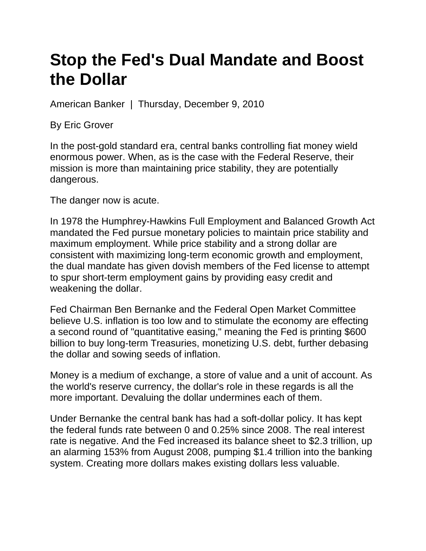## **Stop the Fed's Dual Mandate and Boost the Dollar**

American Banker | Thursday, December 9, 2010

By Eric Grover

In the post-gold standard era, central banks controlling fiat money wield enormous power. When, as is the case with the Federal Reserve, their mission is more than maintaining price stability, they are potentially dangerous.

The danger now is acute.

In 1978 the Humphrey-Hawkins Full Employment and Balanced Growth Act mandated the Fed pursue monetary policies to maintain price stability and maximum employment. While price stability and a strong dollar are consistent with maximizing long-term economic growth and employment, the dual mandate has given dovish members of the Fed license to attempt to spur short-term employment gains by providing easy credit and weakening the dollar.

Fed Chairman Ben Bernanke and the Federal Open Market Committee believe U.S. inflation is too low and to stimulate the economy are effecting a second round of "quantitative easing," meaning the Fed is printing \$600 billion to buy long-term Treasuries, monetizing U.S. debt, further debasing the dollar and sowing seeds of inflation.

Money is a medium of exchange, a store of value and a unit of account. As the world's reserve currency, the dollar's role in these regards is all the more important. Devaluing the dollar undermines each of them.

Under Bernanke the central bank has had a soft-dollar policy. It has kept the federal funds rate between 0 and 0.25% since 2008. The real interest rate is negative. And the Fed increased its balance sheet to \$2.3 trillion, up an alarming 153% from August 2008, pumping \$1.4 trillion into the banking system. Creating more dollars makes existing dollars less valuable.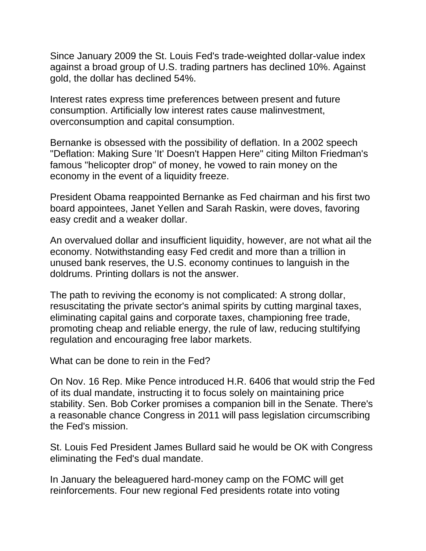Since January 2009 the St. Louis Fed's trade-weighted dollar-value index against a broad group of U.S. trading partners has declined 10%. Against gold, the dollar has declined 54%.

Interest rates express time preferences between present and future consumption. Artificially low interest rates cause malinvestment, overconsumption and capital consumption.

Bernanke is obsessed with the possibility of deflation. In a 2002 speech "Deflation: Making Sure 'It' Doesn't Happen Here" citing Milton Friedman's famous "helicopter drop" of money, he vowed to rain money on the economy in the event of a liquidity freeze.

President Obama reappointed Bernanke as Fed chairman and his first two board appointees, Janet Yellen and Sarah Raskin, were doves, favoring easy credit and a weaker dollar.

An overvalued dollar and insufficient liquidity, however, are not what ail the economy. Notwithstanding easy Fed credit and more than a trillion in unused bank reserves, the U.S. economy continues to languish in the doldrums. Printing dollars is not the answer.

The path to reviving the economy is not complicated: A strong dollar, resuscitating the private sector's animal spirits by cutting marginal taxes, eliminating capital gains and corporate taxes, championing free trade, promoting cheap and reliable energy, the rule of law, reducing stultifying regulation and encouraging free labor markets.

What can be done to rein in the Fed?

On Nov. 16 Rep. Mike Pence introduced H.R. 6406 that would strip the Fed of its dual mandate, instructing it to focus solely on maintaining price stability. Sen. Bob Corker promises a companion bill in the Senate. There's a reasonable chance Congress in 2011 will pass legislation circumscribing the Fed's mission.

St. Louis Fed President James Bullard said he would be OK with Congress eliminating the Fed's dual mandate.

In January the beleaguered hard-money camp on the FOMC will get reinforcements. Four new regional Fed presidents rotate into voting